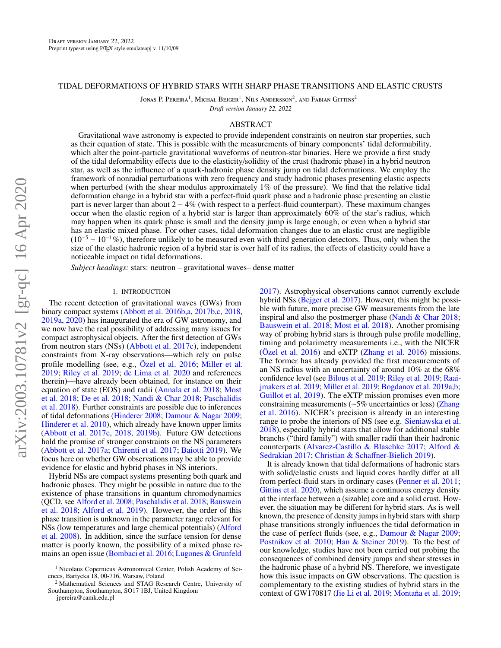### <span id="page-0-0"></span>TIDAL DEFORMATIONS OF HYBRID STARS WITH SHARP PHASE TRANSITIONS AND ELASTIC CRUSTS

Jonas P. Pereira<sup>1</sup>, Michał Bejger<sup>1</sup>, Nils Andersson<sup>2</sup>, and Fabian Gittins<sup>2</sup>

*Draft version January 22, 2022*

# ABSTRACT

Gravitational wave astronomy is expected to provide independent constraints on neutron star properties, such as their equation of state. This is possible with the measurements of binary components' tidal deformability, which alter the point-particle gravitational waveforms of neutron-star binaries. Here we provide a first study of the tidal deformability effects due to the elasticity/solidity of the crust (hadronic phase) in a hybrid neutron star, as well as the influence of a quark-hadronic phase density jump on tidal deformations. We employ the framework of nonradial perturbations with zero frequency and study hadronic phases presenting elastic aspects when perturbed (with the shear modulus approximately 1% of the pressure). We find that the relative tidal deformation change in a hybrid star with a perfect-fluid quark phase and a hadronic phase presenting an elastic part is never larger than about  $2 - 4\%$  (with respect to a perfect-fluid counterpart). These maximum changes occur when the elastic region of a hybrid star is larger than approximately 60% of the star's radius, which may happen when its quark phase is small and the density jump is large enough, or even when a hybrid star has an elastic mixed phase. For other cases, tidal deformation changes due to an elastic crust are negligible  $(10^{-5} – 10^{-1}\%)$ , therefore unlikely to be measured even with third generation detectors. Thus, only when the size of the elastic hadronic region of a hybrid star is over half of its radius, the effects of elasticity could have a noticeable impact on tidal deformations.

*Subject headings:* stars: neutron – gravitational waves– dense matter

## 1. INTRODUCTION

The recent detection of gravitational waves (GWs) from binary compact systems [\(Abbott et al.](#page-9-0) [2016b](#page-9-0)[,a,](#page-9-1) [2017b,](#page-9-2)[c,](#page-9-3) [2018,](#page-9-4) [2019a,](#page-9-5) [2020\)](#page-9-6) has inaugurated the era of GW astronomy, and we now have the real possibility of addressing many issues for compact astrophysical objects. After the first detection of GWs from neutron stars (NSs) [\(Abbott et al.](#page-9-3) [2017c\)](#page-9-3), independent constraints from X-ray observations—which rely on pulse profile modelling (see, e.g., [Özel et al.](#page-9-7) [2016;](#page-9-7) [Miller et al.](#page-9-8) [2019;](#page-9-8) [Riley et al.](#page-9-9) [2019;](#page-9-9) [de Lima et al.](#page-9-10) [2020](#page-9-10) and references therein)—have already been obtained, for instance on their equation of state (EOS) and radii [\(Annala et al.](#page-9-11) [2018;](#page-9-11) [Most](#page-9-12) [et al.](#page-9-12) [2018;](#page-9-12) [De et al.](#page-9-13) [2018;](#page-9-13) [Nandi & Char](#page-9-14) [2018;](#page-9-14) [Paschalidis](#page-9-15) [et al.](#page-9-15) [2018\)](#page-9-15). Further constraints are possible due to inferences of tidal deformations [\(Hinderer](#page-9-16) [2008;](#page-9-16) [Damour & Nagar](#page-9-17) [2009;](#page-9-17) [Hinderer et al.](#page-9-18) [2010\)](#page-9-18), which already have known upper limits [\(Abbott et al.](#page-9-3) [2017c,](#page-9-3) [2018,](#page-9-4) [2019b\)](#page-9-19). Future GW detections hold the promise of stronger constraints on the NS parameters [\(Abbott et al.](#page-9-20) [2017a;](#page-9-20) [Chirenti et al.](#page-9-21) [2017;](#page-9-21) [Baiotti](#page-9-22) [2019\)](#page-9-22). We focus here on whether GW observations may be able to provide evidence for elastic and hybrid phases in NS interiors.

Hybrid NSs are compact systems presenting both quark and hadronic phases. They might be possible in nature due to the existence of phase transitions in quantum chromodynamics (QCD, see [Alford et al.](#page-9-23) [2008;](#page-9-23) [Paschalidis et al.](#page-9-15) [2018;](#page-9-15) [Bauswein](#page-9-24) [et al.](#page-9-24) [2018;](#page-9-24) [Alford et al.](#page-9-25) [2019\)](#page-9-25). However, the order of this phase transition is unknown in the parameter range relevant for NSs (low temperatures and large chemical potentials) [\(Alford](#page-9-23) [et al.](#page-9-23) [2008\)](#page-9-23). In addition, since the surface tension for dense matter is poorly known, the possibility of a mixed phase remains an open issue [\(Bombaci et al.](#page-9-26) [2016;](#page-9-26) [Lugones & Grunfeld](#page-9-27)

[2017\)](#page-9-27). Astrophysical observations cannot currently exclude hybrid NSs [\(Bejger et al.](#page-9-28) [2017\)](#page-9-28). However, this might be possible with future, more precise GW measurements from the late inspiral and also the postmerger phase [\(Nandi & Char](#page-9-14) [2018;](#page-9-14) [Bauswein et al.](#page-9-24) [2018;](#page-9-24) [Most et al.](#page-9-12) [2018\)](#page-9-12). Another promising way of probing hybrid stars is through pulse profile modelling, timing and polarimetry measurements i.e., with the NICER [\(Özel et al.](#page-9-7) [2016\)](#page-9-7) and eXTP [\(Zhang et al.](#page-10-0) [2016\)](#page-10-0) missions. The former has already provided the first measurements of an NS radius with an uncertainty of around 10% at the 68% confidence level (see [Bilous et al.](#page-9-29) [2019;](#page-9-29) [Riley et al.](#page-9-9) [2019;](#page-9-9) [Raai](#page-9-30)[jmakers et al.](#page-9-30) [2019;](#page-9-30) [Miller et al.](#page-9-8) [2019;](#page-9-8) [Bogdanov et al.](#page-9-31) [2019a,](#page-9-31)[b;](#page-9-32) [Guillot et al.](#page-9-33) [2019\)](#page-9-33). The eXTP mission promises even more constraining measurements (∼5% uncertainties or less) [\(Zhang](#page-10-0) [et al.](#page-10-0) [2016\)](#page-10-0). NICER's precision is already in an interesting range to probe the interiors of NS (see e.g. [Sieniawska et al.](#page-9-34) [2018\)](#page-9-34), especially hybrid stars that allow for additional stable branchs ("third family") with smaller radii than their hadronic counterparts [\(Alvarez-Castillo & Blaschke](#page-9-35) [2017;](#page-9-35) [Alford &](#page-9-36) [Sedrakian](#page-9-36) [2017;](#page-9-36) [Christian & Scha](#page-9-37)ffner-Bielich [2019\)](#page-9-37).

It is already known that tidal deformations of hadronic stars with solid/elastic crusts and liquid cores hardly differ at all from perfect-fluid stars in ordinary cases [\(Penner et al.](#page-9-38) [2011;](#page-9-38) [Gittins et al.](#page-9-39) [2020\)](#page-9-39), which assume a continuous energy density at the interface between a (sizable) core and a solid crust. However, the situation may be different for hybrid stars. As is well known, the presence of density jumps in hybrid stars with sharp phase transitions strongly influences the tidal deformation in the case of perfect fluids (see, e.g., [Damour & Nagar](#page-9-17) [2009;](#page-9-17) [Postnikov et al.](#page-9-40) [2010;](#page-9-40) [Han & Steiner](#page-9-41) [2019\)](#page-9-41). To the best of our knowledge, studies have not been carried out probing the consequences of combined density jumps and shear stresses in the hadronic phase of a hybrid NS. Therefore, we investigate how this issue impacts on GW observations. The question is complementary to the existing studies of hybrid stars in the context of GW170817 [\(Jie Li et al.](#page-9-42) [2019;](#page-9-42) [Montaña et al.](#page-9-43) [2019;](#page-9-43)

<sup>1</sup> Nicolaus Copernicus Astronomical Center, Polish Academy of Sciences, Bartycka 18, 00-716, Warsaw, Poland

<sup>2</sup> Mathematical Sciences and STAG Research Centre, University of Southampton, Southampton, SO17 1BJ, United Kingdom

jpereira@camk.edu.pl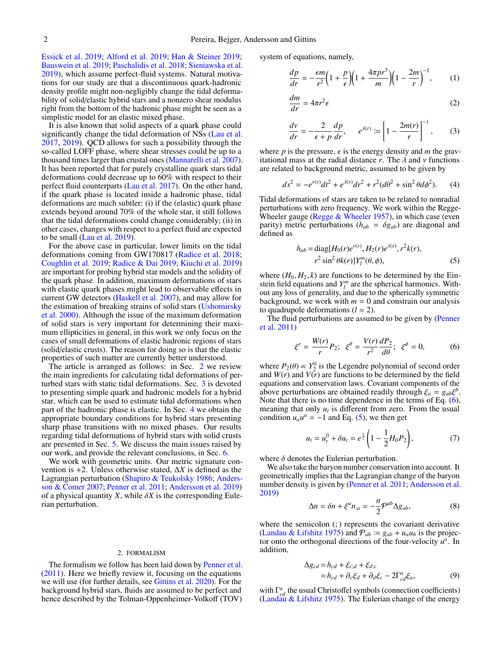[Essick et al.](#page-9-44) [2019;](#page-9-44) [Alford et al.](#page-9-25) [2019;](#page-9-25) [Han & Steiner](#page-9-41) [2019;](#page-9-41) [Bauswein et al.](#page-9-45) [2019;](#page-9-45) [Paschalidis et al.](#page-9-15) [2018;](#page-9-15) [Sieniawska et al.](#page-9-46) [2019\)](#page-9-46), which assume perfect-fluid systems. Natural motivations for our study are that a discontinuous quark-hadronic density profile might non-negligibly change the tidal deformability of solid/elastic hybrid stars and a nonzero shear modulus right from the bottom of the hadronic phase might be seen as a simplistic model for an elastic mixed phase.

It is also known that solid aspects of a quark phase could significantly change the tidal deformation of NSs [\(Lau et al.](#page-9-47) [2017,](#page-9-47) [2019\)](#page-9-48). QCD allows for such a possibility through the so-called LOFF phase, where shear stresses could be up to a thousand times larger than crustal ones [\(Mannarelli et al.](#page-9-49) [2007\)](#page-9-49). It has been reported that for purely crystalline quark stars tidal deformations could decrease up to 60% with respect to their perfect fluid counterparts [\(Lau et al.](#page-9-47) [2017\)](#page-9-47). On the other hand, if the quark phase is located inside a hadronic phase, tidal deformations are much subtler: (i) if the (elastic) quark phase extends beyond around 70% of the whole star, it still follows that the tidal deformations could change considerably; (ii) in other cases, changes with respect to a perfect fluid are expected to be small [\(Lau et al.](#page-9-48) [2019\)](#page-9-48).

For the above case in particular, lower limits on the tidal deformations coming from GW170817 [\(Radice et al.](#page-9-50) [2018;](#page-9-50) [Coughlin et al.](#page-9-51) [2019;](#page-9-51) [Radice & Dai](#page-9-52) [2019;](#page-9-52) [Kiuchi et al.](#page-9-53) [2019\)](#page-9-53) are important for probing hybrid star models and the solidity of the quark phase. In addition, maximum deformations of stars with elastic quark phases might lead to observable effects in current GW detectors [\(Haskell et al.](#page-9-54) [2007\)](#page-9-54), and may allow for the estimation of breaking strains of solid stars [\(Ushomirsky](#page-9-55) [et al.](#page-9-55) [2000\)](#page-9-55). Although the issue of the maximum deformation of solid stars is very important for determining their maximum ellipticities in general, in this work we only focus on the cases of small deformations of elastic hadronic regions of stars (solid/elastic crusts). The reason for doing so is that the elastic properties of such matter are currently better understood.

The article is arranged as follows: in Sec. [2](#page-1-0) we review the main ingredients for calculating tidal deformations of perturbed stars with static tidal deformations. Sec. [3](#page-3-0) is devoted to presenting simple quark and hadronic models for a hybrid star, which can be used to estimate tidal deformations when part of the hadronic phase is elastic. In Sec. [4](#page-4-0) we obtain the appropriate boundary conditions for hybrid stars presenting sharp phase transitions with no mixed phases. Our results regarding tidal deformations of hybrid stars with solid crusts are presented in Sec. [5.](#page-5-0) We discuss the main issues raised by our work, and provide the relevant conclusions, in Sec. [6.](#page-7-0)

We work with geometric units. Our metric signature convention is +2. Unless otherwise stated, ∆*X* is defined as the Lagrangian perturbation [\(Shapiro & Teukolsky](#page-9-56) [1986;](#page-9-56) [Anders](#page-9-57)[son & Comer](#page-9-57) [2007;](#page-9-57) [Penner et al.](#page-9-38) [2011;](#page-9-38) [Andersson et al.](#page-9-58) [2019\)](#page-9-58) of a physical quantity  $X$ , while  $\delta X$  is the corresponding Eulerian perturbation.

#### 2. FORMALISM

<span id="page-1-0"></span>The formalism we follow has been laid down by [Penner et al.](#page-9-38) [\(2011\)](#page-9-38). Here we briefly review it, focusing on the equations we will use (for further details, see [Gittins et al.](#page-9-39) [2020\)](#page-9-39). For the background hybrid stars, fluids are assumed to be perfect and hence described by the Tolman-Oppenheimer-Volkoff (TOV) system of equations, namely,

$$
\frac{dp}{dr} = -\frac{\epsilon m}{r^2} \left( 1 + \frac{p}{\epsilon} \right) \left( 1 + \frac{4\pi pr^3}{m} \right) \left( 1 - \frac{2m}{r} \right)^{-1},\tag{1}
$$

$$
\frac{dm}{dr} = 4\pi r^2 \epsilon \tag{2}
$$

$$
\frac{dv}{dr} = -\frac{2}{\epsilon + p} \frac{dp}{dr}, \qquad e^{\lambda(r)} := \left[1 - \frac{2m(r)}{r}\right]^{-1}, \tag{3}
$$

where *p* is the pressure,  $\epsilon$  is the energy density and *m* the gravitational mass at the radial distance  $r$ . The  $\lambda$  and  $\nu$  functions are related to background metric, assumed to be given by

$$
ds^{2} = -e^{\nu(r)}dt^{2} + e^{\lambda(r)}dr^{2} + r^{2}(d\theta^{2} + \sin^{2}\theta d\phi^{2}).
$$
 (4)

Tidal deformations of stars are taken to be related to nonradial perturbations with zero frequency. We work within the Regge-Wheeler gauge (Regge  $&$  Wheeler [1957\)](#page-9-59), in which case (even parity) metric perturbations ( $h_{ab} = \delta g_{ab}$ ) are diagonal and defined as

<span id="page-1-2"></span>
$$
h_{ab} = \text{diag}[H_0(r)e^{v(r)}, H_2(r)e^{\lambda(r)}, r^2k(r),
$$
  

$$
r^2 \sin^2 \theta k(r)]Y_l^m(\theta, \phi),
$$
 (5)

where  $(H_0, H_2, k)$  are functions to be determined by the Einstein field equations and  $Y_l^m$  are the spherical harmonics. Without any loss of generality, and due to the spherically symmetric background, we work with  $m = 0$  and constrain our analysis to quadrupole deformations  $(l = 2)$ .

The fluid perturbations are assumed to be given by [\(Penner](#page-9-38) [et al.](#page-9-38) [2011\)](#page-9-38)

<span id="page-1-1"></span>
$$
\xi^{r} = \frac{W(r)}{r} P_{2}; \ \xi^{\theta} = \frac{V(r)}{r^{2}} \frac{dP_{2}}{d\theta}; \ \xi^{\phi} = 0, \tag{6}
$$

where  $P_2(\theta) \propto Y_2^0$  is the Legendre polynomial of second order<br>and  $W(r)$  and  $V(r)$  are functions to be determined by the field and  $W(r)$  and  $V(\bar{r})$  are functions to be determined by the field equations and conservation laws. Covariant components of the above perturbations are obtained readily through  $\xi_a = g_{ab}\xi^b$ .<br>Note that there is no time dependence in the terms of Eq. (6). Note that there is no time dependence in the terms of Eq. [\(6\)](#page-1-1), meaning that only  $u_t$  is different from zero. From the usual condition  $u_a u^a = -1$  and Eq. [\(5\)](#page-1-2), we then get

$$
u_t = u_t^0 + \delta u_t = e^{\frac{\nu}{2}} \left( 1 - \frac{1}{2} H_0 P_2 \right), \tag{7}
$$

where  $\delta$  denotes the Eulerian perturbation.

We also take the baryon number conservation into account. It geometrically implies that the Lagrangian change of the baryon number density is given by [\(Penner et al.](#page-9-38) [2011;](#page-9-38) [Andersson et al.](#page-9-58) [2019\)](#page-9-58)

<span id="page-1-4"></span>
$$
\Delta n = \delta n + \xi^a n_{;a} = -\frac{n}{2} \mathcal{P}^{ab} \Delta g_{ab},\tag{8}
$$

where the semicolon (; ) represents the covariant derivative [\(Landau & Lifshitz](#page-9-60) [1975\)](#page-9-60) and  $P_{ab} = g_{ab} + u_a u_b$  is the projector onto the orthogonal directions of the four-velocity  $u^a$ . In addition,

<span id="page-1-3"></span>
$$
\Delta g_{cd} = h_{cd} + \xi_{c;d} + \xi_{dc}
$$
  
=  $h_{cd} + \partial_c \xi_d + \partial_d \xi_c - 2\Gamma^a_{cd} \xi_a,$  (9)

with  $\Gamma^a_{cd}$  the usual Christoffel symbols (connection coefficients) [\(Landau & Lifshitz](#page-9-60) [1975\)](#page-9-60). The Eulerian change of the energy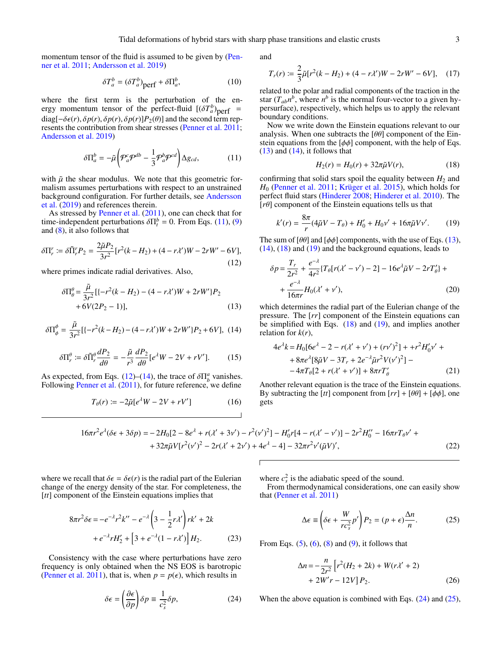momentum tensor of the fluid is assumed to be given by [\(Pen](#page-9-38)[ner et al.](#page-9-38) [2011;](#page-9-38) [Andersson et al.](#page-9-58) [2019\)](#page-9-58)

$$
\delta T_a^b = (\delta T_a^b)_{\text{perf}} + \delta \Pi_a^b, \tag{10}
$$

where the first term is the perturbation of the energy momentum tensor of the perfect-fluid  $[(\delta T_a^b)_{\text{perf}} =$  $diag[-\delta\epsilon(r), \delta p(r), \delta p(r), \delta p(r)]P_2(\theta)$  and the second term represents the contribution from shear stresses [\(Penner et al.](#page-9-38) [2011;](#page-9-38) [Andersson et al.](#page-9-58) [2019\)](#page-9-58)

<span id="page-2-0"></span>
$$
\delta \Pi_a^b = -\tilde{\mu} \left( \mathcal{P}_a^c \mathcal{P}^{db} - \frac{1}{3} \mathcal{P}_a^b \mathcal{P}^{cd} \right) \Delta g_{cd},\tag{11}
$$

with  $\tilde{\mu}$  the shear modulus. We note that this geometric formalism assumes perturbations with respect to an unstrained background configuration. For further details, see [Andersson](#page-9-58) [et al.](#page-9-58) [\(2019\)](#page-9-58) and references therein.

As stressed by [Penner et al.](#page-9-38) [\(2011\)](#page-9-38), one can check that for time-independent perturbations  $\delta \Pi_t^b = 0$ . From Eqs. [\(11\)](#page-2-0), [\(9\)](#page-1-3) and (8), it also follows that and [\(8\)](#page-1-4), it also follows that

<span id="page-2-1"></span>
$$
\delta \Pi_r^r := \delta \tilde{\Pi}_r^r P_2 = \frac{2\tilde{\mu} P_2}{3r^2} [r^2(k - H_2) + (4 - r\lambda')W - 2rW' - 6V],\tag{12}
$$

where primes indicate radial derivatives. Also,

<span id="page-2-3"></span>
$$
\delta \Pi_{\theta}^{\theta} = \frac{\tilde{\mu}}{3r^2} [(-r^2(k - H_2) - (4 - r\lambda')W + 2rW']P_2 + 6V(2P_2 - 1)],
$$
\n(13)

<span id="page-2-2"></span>
$$
\delta \Pi_{\phi}^{\phi} = \frac{\tilde{\mu}}{3r^2} \left[ \left\{ -r^2(k - H_2) - (4 - r\lambda')W + 2rW'\right\} P_2 + 6V \right], (14)
$$

$$
\delta \Pi_r^{\theta} \coloneqq \delta \tilde{\Pi}_r^{\theta} \frac{dP_2}{d\theta} = -\frac{\tilde{\mu}}{r^3} \frac{dP_2}{d\theta} [e^{\lambda} W - 2V + rV'].
$$
 (15)

As expected, from Eqs. [\(12\)](#page-2-1)–[\(14\)](#page-2-2), the trace of  $\delta \Pi_b^a$  vanishes.<br>Following Penner et al. (2011), for future reference, we define Following [Penner et al.](#page-9-38)  $(2011)$ , for future reference, we define

<span id="page-2-11"></span>
$$
T_{\theta}(r) := -2\tilde{\mu}[e^{\lambda}W - 2V + rV'] \tag{16}
$$

and

<span id="page-2-10"></span>
$$
T_r(r) := \frac{2}{3}\tilde{\mu}[r^2(k - H_2) + (4 - r\lambda')W - 2rW' - 6V], \quad (17)
$$

related to the polar and radial components of the traction in the star  $(T_{ab}n^b)$ , where  $n^b$  is the normal four-vector to a given hypersurface), respectively, which helps us to apply the relevant boundary conditions.

Now we write down the Einstein equations relevant to our analysis. When one subtracts the  $[\theta \theta]$  component of the Einstein equations from the  $[\phi\phi]$  component, with the help of Eqs.  $(13)$  and  $(14)$ , it follows that

<span id="page-2-4"></span>
$$
H_2(r) = H_0(r) + 32\pi \tilde{\mu} V(r),
$$
 (18)

confirming that solid stars spoil the equality between  $H_2$  and *H*<sub>0</sub> [\(Penner et al.](#page-9-38) [2011;](#page-9-38) [Krüger et al.](#page-9-61) [2015\)](#page-9-61), which holds for perfect fluid stars [\(Hinderer](#page-9-16) [2008;](#page-9-16) [Hinderer et al.](#page-9-18) [2010\)](#page-9-18). The [*r*θ] component of the Einstein equations tells us that

<span id="page-2-5"></span>
$$
k'(r) = \frac{8\pi}{r}(4\tilde{\mu}V - T_{\theta}) + H'_0 + H_0\nu' + 16\pi\tilde{\mu}V\nu'. \tag{19}
$$

The sum of  $[\theta\theta]$  and  $[\phi\phi]$  components, with the use of Eqs. [\(13\)](#page-2-3),  $(14)$ ,  $(18)$  and  $(19)$  and the background equations, leads to

<span id="page-2-8"></span>
$$
\delta p = \frac{T_r}{2r^2} + \frac{e^{-\lambda}}{4r^2} \{ T_\theta[r(\lambda' - \nu') - 2] - 16e^{\lambda} \tilde{\mu} V - 2rT_\theta' \} +
$$
  
+ 
$$
\frac{e^{-\lambda}}{16\pi r} H_0(\lambda' + \nu'),
$$
 (20)  
which determines the radial part of the Eulerian change of the

pressure. The [*rr*] component of the Einstein equations can be simplified with Eqs.  $(18)$  and  $(19)$ , and implies another relation for  $k(r)$ ,

<span id="page-2-12"></span>
$$
4e^{\lambda}k = H_0[6e^{\lambda} - 2 - r(\lambda' + \nu') + (r\nu')^2] + +r^2H'_0\nu' ++ 8\pi e^{\lambda}[8\tilde{\mu}V - 3T_r + 2e^{-\lambda}\tilde{\mu}r^2V(\nu')^2] -- 4\pi T_{\theta}[2 + r(\lambda' + \nu')] + 8\pi rT'_{\theta}
$$
 (21)

θ Another relevant equation is the trace of the Einstein equations. By subtracting the [*tt*] component from  $[rr] + [\theta \theta] + [\dot{\phi} \phi]$ , one gets

<span id="page-2-9"></span>
$$
16\pi r^2 e^{\lambda} (6\epsilon + 3\delta p) = -2H_0 [2 - 8e^{\lambda} + r(\lambda' + 3\nu') - r^2(\nu')^2] - H'_0 r [4 - r(\lambda' - \nu')] - 2r^2 H''_0 - 16\pi r T_\theta \nu' + 32\pi \tilde{\mu} V [r^2(\nu')^2 - 2r(\lambda' + 2\nu') + 4e^{\lambda} - 4] - 32\pi r^2 \nu' (\tilde{\mu} V)', \tag{22}
$$

where we recall that  $\delta \epsilon = \delta \epsilon(r)$  is the radial part of the Eulerian change of the energy density of the star. For completeness, the [*tt*] component of the Einstein equations implies that

$$
8\pi r^2 \delta \epsilon = -e^{-\lambda} r^2 k'' - e^{-\lambda} \left(3 - \frac{1}{2} r \lambda'\right) r k' + 2k
$$
  
+ 
$$
e^{-\lambda} r H_2' + \left[3 + e^{-\lambda} (1 - r \lambda')\right] H_2.
$$
 (23)

Consistency with the case where perturbations have zero frequency is only obtained when the NS EOS is barotropic [\(Penner et al.](#page-9-38) [2011\)](#page-9-38), that is, when  $p = p(\epsilon)$ , which results in

<span id="page-2-6"></span>
$$
\delta \epsilon = \left(\frac{\partial \epsilon}{\partial p}\right) \delta p \equiv \frac{1}{c_s^2} \delta p,\tag{24}
$$

where  $c_s^2$  is the adiabatic speed of the sound.

From thermodynamical considerations, one can easily show that [\(Penner et al.](#page-9-38) [2011\)](#page-9-38)

<span id="page-2-7"></span>
$$
\Delta \epsilon \equiv \left( \delta \epsilon + \frac{W}{rc_s^2} p' \right) P_2 = (p + \epsilon) \frac{\Delta n}{n}.
$$
 (25)

From Eqs.  $(5)$ ,  $(6)$ ,  $(8)$  and  $(9)$ , it follows that

$$
\Delta n = -\frac{n}{2r^2} \left[ r^2 (H_2 + 2k) + W(r\lambda' + 2) + 2W'r - 12V \right] P_2.
$$
 (26)

When the above equation is combined with Eqs.  $(24)$  and  $(25)$ ,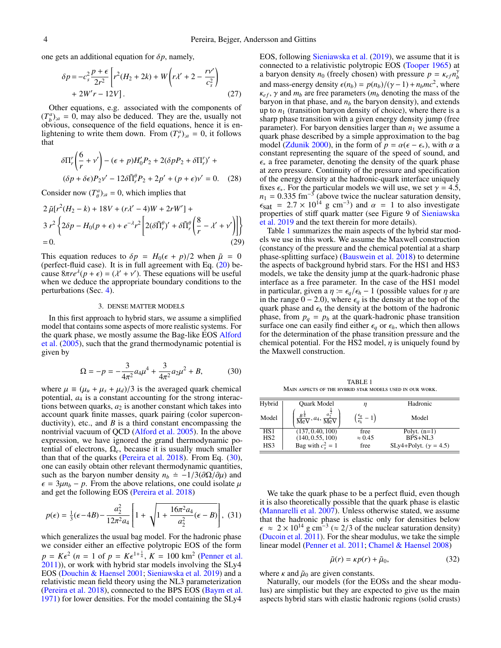one gets an additional equation for  $\delta p$ , namely,

$$
\delta p = -c_s^2 \frac{p + \epsilon}{2r^2} \left[ r^2 (H_2 + 2k) + W \left( r \lambda' + 2 - \frac{r \nu'}{c_s^2} \right) + 2W' r - 12V \right].
$$
\n(27)

Other equations, e.g. associated with the components of  $(T_b^a)_{;a} = 0$ , may also be deduced. They are the, usually not obvious, consequence of the field equations, hence it is enlightening to write them down. From  $(T_r^a)_{;a} = 0$ , it follows that

<span id="page-3-3"></span>
$$
\delta \Pi_r' \left( \frac{6}{r} + v' \right) - (\epsilon + p)H'_0 P_2 + 2(\delta p P_2 + \delta \Pi_r')' +
$$
  

$$
(\delta p + \delta \epsilon)P_2 v' - 12\delta \tilde{\Pi}_r^{\rho} P_2 + 2p' + (p + \epsilon)v' = 0. \quad (28)
$$

Consider now  $(T^a_{\theta})_{;a} = 0$ , which implies that

<span id="page-3-4"></span>
$$
2 \tilde{\mu} [r^2 (H_2 - k) + 18V + (r\lambda' - 4)W + 2rW'] +
$$
  
\n
$$
3 r^2 \left\{ 2\delta p - H_0 (p + \epsilon) + e^{-\lambda} r^2 \left[ 2(\delta \tilde{\Pi}_r^{\theta})' + \delta \tilde{\Pi}_r^{\theta} \left( \frac{8}{r} - \lambda' + \nu' \right) \right] \right\}
$$
  
\n= 0. (29)

This equation reduces to  $\delta p = H_0(\epsilon + p)/2$  when  $\tilde{\mu} = 0$ (perfect-fluid case). It is in full agreement with Eq.  $(20)$  because  $8\pi re^{\lambda}(p + \epsilon) = (\lambda' + \nu')$ . These equations will be useful when we deduce the appropriate boundary conditions to the when we deduce the appropriate boundary conditions to the perturbations (Sec. [4\)](#page-4-0).

### 3. DENSE MATTER MODELS

<span id="page-3-0"></span>In this first approach to hybrid stars, we assume a simplified model that contains some aspects of more realistic systems. For the quark phase, we mostly assume the Bag-like EOS [Alford](#page-9-62) [et al.](#page-9-62) [\(2005\)](#page-9-62), such that the grand thermodynamic potential is given by

<span id="page-3-1"></span>
$$
\Omega = -p = -\frac{3}{4\pi^2} a_4 \mu^4 + \frac{3}{4\pi^2} a_2 \mu^2 + B,\tag{30}
$$

where  $\mu \equiv (\mu_u + \mu_s + \mu_d)/3$  is the averaged quark chemical potential,  $a_A$  is a constant accounting for the strong interacpotential, *a*<sup>4</sup> is a constant accounting for the strong interactions between quarks,  $a_2$  is another constant which takes into account quark finite masses, quark pairing (color superconductivity), etc., and *B* is a third constant encompassing the nontrivial vacuum of QCD [\(Alford et al.](#page-9-62) [2005\)](#page-9-62). In the above expression, we have ignored the grand thermodynamic potential of electrons,  $\Omega_e$ , because it is usually much smaller than that of the quarks [\(Pereira et al.](#page-9-63) [2018\)](#page-9-63). From Eq. [\(30\)](#page-3-1), one can easily obtain other relevant thermodynamic quantities, such as the baryon number density  $n_b = -1/3(\partial \Omega/\partial \mu)$  and  $\epsilon = 3\mu n_b - p$ . From the above relations, one could isolate  $\mu$ and get the following EOS [\(Pereira et al.](#page-9-63) [2018\)](#page-9-63)

$$
p(\epsilon) = \frac{1}{3}(\epsilon - 4B) - \frac{a_2^2}{12\pi^2 a_4} \left[ 1 + \sqrt{1 + \frac{16\pi^2 a_4}{a_2^2}(\epsilon - B)} \right], (31)
$$

which generalizes the usual bag model. For the hadronic phase we consider either an effective polytropic EOS of the form  $p = K \epsilon^2$  (*n* = 1 of  $p = K \epsilon^{1 + \frac{1}{n}}$ ,  $K = 100$  km<sup>2</sup> [\(Penner et al.](#page-9-38) 2011)), or work with hybrid star models involving the SL x4 [2011\)](#page-9-38)), or work with hybrid star models involving the SLy4 EOS [\(Douchin & Haensel](#page-9-64) [2001;](#page-9-64) [Sieniawska et al.](#page-9-46) [2019\)](#page-9-46) and a relativistic mean field theory using the NL3 parameterization [\(Pereira et al.](#page-9-63) [2018\)](#page-9-63), connected to the BPS EOS [\(Baym et al.](#page-9-65) [1971\)](#page-9-65) for lower densities. For the model containing the SLy4

EOS, following [Sieniawska et al.](#page-9-46) [\(2019\)](#page-9-46), we assume that it is connected to a relativistic polytropic EOS [\(Tooper](#page-9-66) [1965\)](#page-9-66) at a baryon density  $n_0$  (freely chosen) with pressure  $p = \kappa_{eff} n_b^2$ <br>and mass energy density  $\varepsilon(n_0) = p(n_0)/(2\kappa - 1) + n_0 m_c^2$  where and mass-energy density  $\epsilon(n_b) = p(n_b)/(y-1) + n_bmc^2$ , where  $\epsilon_{\alpha\beta}$ ,  $\gamma$  and  $m_b$  are free parameters  $(m_b$  denoting the mass of the  $\kappa_{ef}$ ,  $\gamma$  and  $m_b$  are free parameters ( $m_b$  denoting the mass of the baryon in that phase, and  $n<sub>b</sub>$  the baryon density), and extends up to  $n_1$  (transition baryon density of choice), where there is a sharp phase transition with a given energy density jump (free parameter). For baryon densities larger than  $n_1$  we assume a quark phase described by a simple approximation to the bag model [\(Zdunik](#page-9-67) [2000\)](#page-9-67), in the form of  $p = \alpha(\epsilon - \epsilon_*)$ , with  $\alpha$  a constant representing the square of the speed of sound, and  $\epsilon_{*}$  a free parameter, denoting the density of the quark phase at zero pressure. Continuity of the pressure and specification of the energy density at the hadronic-quark interface uniquely fixes  $\epsilon_{*}$ . For the particular models we will use, we set  $\gamma = 4.5$ ,  $n_1 = 0.335$  fm<sup>-3</sup><br> $f_{\text{sat}} = 2.7 \times 10^{-7}$  $n_1 = 0.335$  fm<sup>-3</sup> (above twice the nuclear saturation density,  $\epsilon_{\text{sat}} = 2.7 \times 10^{14} \text{ g cm}^{-3}$  and  $\alpha = 1$  to also investigate<br>properties of stiff quark matter (see Figure 9 of Sieniawska properties of stiff quark matter (see Figure 9 of [Sieniawska](#page-9-46) [et al.](#page-9-46) [2019](#page-9-46) and the text therein for more details).

Table [1](#page-3-2) summarizes the main aspects of the hybrid star models we use in this work. We assume the Maxwell construction (constancy of the pressure and the chemical potential at a sharp phase-splitting surface) [\(Bauswein et al.](#page-9-24) [2018\)](#page-9-24) to determine the aspects of background hybrid stars. For the HS1 and HS3 models, we take the density jump at the quark-hadronic phase interface as a free parameter. In the case of the HS1 model in particular, given a  $\eta := \epsilon_q/\epsilon_h - 1$  (possible values for  $\eta$  are in the range  $0 - 2.0$ ), where  $\epsilon_q$  is the density at the top of the quark phase and  $\epsilon_h$  the density at the bottom of the hadronic phase, from  $p_q = p_h$  at the quark-hadronic phase transition surface one can easily find either  $\epsilon_q$  or  $\epsilon_h$ , which then allows for the determination of the phase transition pressure and the chemical potential. For the HS2 model,  $\eta$  is uniquely found by the Maxwell construction.

TABLE 1 Main aspects of the hybrid star models used in our work.

<span id="page-3-2"></span>

| Hybrid          | Quark Model                                                           | η                                              | Hadronic                     |
|-----------------|-----------------------------------------------------------------------|------------------------------------------------|------------------------------|
| Model           | $rac{B^{\frac{1}{4}}}{\text{MeV}}$ , $a_4$ , $rac{a_2^2}{\text{MeV}}$ | $\left(\frac{\epsilon_q}{\epsilon_h}-1\right)$ | Model                        |
| HS <sub>1</sub> | (137, 0.40, 100)                                                      | free                                           | Polyt. $(n=1)$               |
| HS <sub>2</sub> | (140, 0.55, 100)                                                      | $\approx 0.45$                                 | $BPS + NL3$                  |
| HS3             | Bag with $c_s^2 = 1$                                                  | free                                           | SLy4+Polyt. $(\gamma = 4.5)$ |
|                 |                                                                       |                                                |                              |

We take the quark phase to be a perfect fluid, even though it is also theoretically possible that the quark phase is elastic [\(Mannarelli et al.](#page-9-49) [2007\)](#page-9-49). Unless otherwise stated, we assume that the hadronic phase is elastic only for densities below  $\epsilon \approx 2 \times 10^{14}$  g cm<sup>-3</sup> ( $\approx 2/3$  of the nuclear saturation density)<br>(Ducoin et al. 2011). For the shear modulus, we take the simple [\(Ducoin et al.](#page-9-68) [2011\)](#page-9-68). For the shear modulus, we take the simple linear model [\(Penner et al.](#page-9-38) [2011;](#page-9-38) [Chamel & Haensel](#page-9-69) [2008\)](#page-9-69)

<span id="page-3-5"></span>
$$
\tilde{\mu}(r) = \kappa p(r) + \tilde{\mu}_0,\tag{32}
$$

where  $\kappa$  and  $\tilde{\mu}_0$  are given constants.

Naturally, our models (for the EOSs and the shear modulus) are simplistic but they are expected to give us the main aspects hybrid stars with elastic hadronic regions (solid crusts)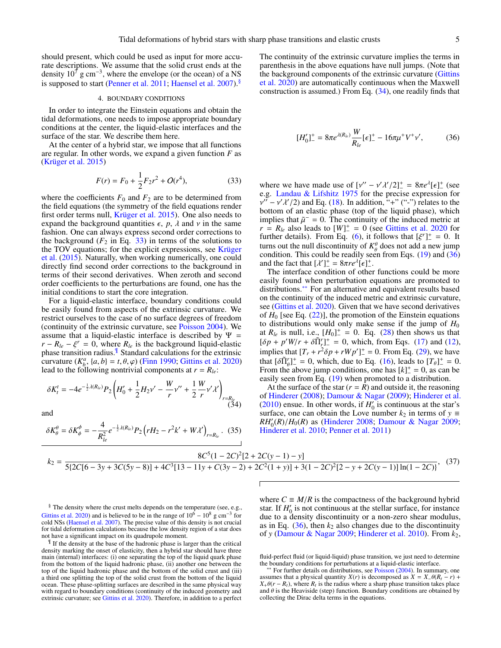should present, which could be used as input for more accurate descriptions. We assume that the solid crust ends at the density  $10^7$  g cm<sup>-3</sup>, where the envelope (or the ocean) of a NS is supposed to start [\(Penner et al.](#page-9-38) [2011;](#page-9-38) [Haensel et al.](#page-9-70) [2007\)](#page-9-70).[§](#page-0-0)

### 4. BOUNDARY CONDITIONS

<span id="page-4-0"></span>In order to integrate the Einstein equations and obtain the tidal deformations, one needs to impose appropriate boundary conditions at the center, the liquid-elastic interfaces and the surface of the star. We describe them here.

At the center of a hybrid star, we impose that all functions are regular. In other words, we expand a given function *F* as [\(Krüger et al.](#page-9-61) [2015\)](#page-9-61)

<span id="page-4-1"></span>
$$
F(r) = F_0 + \frac{1}{2}F_2r^2 + O(r^4),
$$
\n(33)

where the coefficients  $F_0$  and  $F_2$  are to be determined from the field equations (the symmetry of the field equations render first order terms null, [Krüger et al.](#page-9-61) [2015\)](#page-9-61). One also needs to expand the background quantities  $\epsilon$ , *p*,  $\lambda$  and  $\nu$  in the same fashion. One can always express second order corrections to the background  $(F_2$  in Eq. [33\)](#page-4-1) in terms of the solutions to the TOV equations; for the explicit expressions, see [Krüger](#page-9-61) [et al.](#page-9-61) [\(2015\)](#page-9-61). Naturally, when working numerically, one could directly find second order corrections to the background in terms of their second derivatives. When zeroth and second order coefficients to the perturbations are found, one has the initial conditions to start the core integration.

For a liquid-elastic interface, boundary conditions could be easily found from aspects of the extrinsic curvature. We restrict ourselves to the case of no surface degrees of freedom (continuity of the extrinsic curvature, see [Poisson](#page-9-71) [2004\)](#page-9-71). We assume that a liquid-elastic interface is described by  $\Psi =$  $r - R_{le} - \xi^r = 0$ , where  $R_{le}$  is the background liquid-elastic phase transition radius.<sup>1</sup> Standard calculations for the extrinsic phase transition radius.[¶](#page-0-0) Standard calculations for the extrinsic curvature  $(K_{\beta}^{a}, \{a, b\} = t, \theta, \varphi)$  [\(Finn](#page-9-72) [1990;](#page-9-72) [Gittins et al.](#page-9-39) [2020\)](#page-9-39)<br>lead to the following nontrivial components at  $r = R_{\alpha}$ . lead to the following nontrivial components at  $r = R_{le}$ :

<span id="page-4-2"></span>
$$
\delta K_t^t = -4e^{-\frac{1}{2}\lambda(R_{le})}P_2\left(H_0' + \frac{1}{2}H_2v' - \frac{W}{r}v'' + \frac{1}{2}\frac{W}{r}v'\lambda'\right)_{r=R_{le}}\tag{34}
$$

and

<span id="page-4-5"></span>
$$
\delta K^{\theta}_{\theta} = \delta K^{\phi}_{\phi} = -\frac{4}{R_{le}^{2}} e^{-\frac{1}{2} \lambda(R_{le})} P_{2} (rH_{2} - r^{2}k' + W\lambda')_{r=R_{le}}.
$$
 (35)

The continuity of the extrinsic curvature implies the terms in parenthesis in the above equations have null jumps. (Note that the background components of the extrinsic curvature [\(Gittins](#page-9-39) [et al.](#page-9-39) [2020\)](#page-9-39) are automatically continuous when the Maxwell construction is assumed.) From Eq. [\(34\)](#page-4-2), one readily finds that

<span id="page-4-3"></span>
$$
[H'_0]_-^+ = 8\pi e^{\lambda(R_{le})} \frac{W}{R_{le}} [\epsilon]_-^+ - 16\pi \mu^+ V^+ \nu', \qquad (36)
$$

where we have made use of  $[v'' - v'\lambda'/2]^+ = 8\pi e^{\lambda}[ \epsilon]^+$  (see<br>e.g. Landau & Lifshitz 1975 for the precise expression for e.g. [Landau & Lifshitz](#page-9-60) [1975](#page-9-60) for the precise expression for bottom of an elastic phase (top of the liquid phase), which  $\mu'' - \nu' \lambda'/2$  and Eq. [\(18\)](#page-2-4). In addition, "+" ("-") relates to the ottom of an elastic phase (top of the liquid phase), which implies that  $\tilde{\mu}^-=0$ . The continuity of the induced metric at  $r = R_{\mu}$  also leads to  $[W]^+ = 0$  (see Gittins et al. 2020 for  $r = R_{le}$  also leads to  $[W]^+ = 0$  (see [Gittins et al.](#page-9-39) [2020](#page-9-39) for further details). From Eq. [\(6\)](#page-1-1), it follows that  $[\xi^r]^{\perp} = 0$ . It turns out the null discontinuity of  $K^{\theta}$  does not add a new jump turns out the null discontinuity of  $K^{\theta}_{\theta}$  does not add a new jump condition. This could be readily seen from Eqs. [\(19\)](#page-2-5) and [\(36\)](#page-4-3) and the fact that  $[\lambda']_{-}^{+} = 8\pi re^{\lambda}[\epsilon]_{-}^{+}$ .<br>The interface condition of other

The interface condition of other functions could be more easily found when perturbation equations are promoted to distributions.[∗∗](#page-0-0) For an alternative and equivalent results based on the continuity of the induced metric and extrinsic curvature, see [\(Gittins et al.](#page-9-39) [2020\)](#page-9-39). Given that we have second derivatives of  $H_0$  [see Eq.  $(22)$ ], the promotion of the Einstein equations to distributions would only make sense if the jump of  $H_0$ at  $R_{le}$  is null, i.e.,  $[H_0]^+ = 0$ . Eq. [\(28\)](#page-3-3) then shows us that  $[\delta p + p'W/r + \delta \tilde{\Pi}_r^r]_+^+ = 0$ , which, from Eqs. [\(17\)](#page-2-10) and [\(12\)](#page-2-1), implies that  $[T + r^2 \delta p + rWp']_+^+ = 0$ . From Eq. (29), we have implies that  $[T_r + r^2 \delta p + rWp']_+^+ = 0$ . From Eq. [\(29\)](#page-3-4), we have<br>that  $\delta T^T$ <sup>+</sup> = 0, which due to Eq. (16) leads to  $[T_c]^+ = 0$ that  $\left[\delta \tilde{\Pi}_{\theta}^{r}\right]_{r}^{+} = 0$ , which, due to Eq. [\(16\)](#page-2-11), leads to  $\left[T_{\theta}\right]_{r}^{+} = 0$ .<br>From the above jump conditions, one has  $\left[k\right]_{r}^{+} = 0$ , as can be From the above jump conditions, one has  $[k]_ -^+ = 0$ , as can be easily seen from Eq. [\(19\)](#page-2-5) when promoted to a distribution.

At the surface of the star  $(r = \overline{R})$  and outside it, the reasoning of [Hinderer](#page-9-16) [\(2008\)](#page-9-16); [Damour & Nagar](#page-9-17) [\(2009\)](#page-9-17); [Hinderer et al.](#page-9-18)  $(2010)$  ensue. In other words, if  $H'_0$  is continuous at the star's surface, one can obtain the Love number  $k_2$  in terms of  $y \equiv$  $RH_0'(R)/H_0(R)$  as [\(Hinderer](#page-9-16) [2008;](#page-9-16) [Damour & Nagar](#page-9-17) [2009;](#page-9-17) Hinderer et al. 2010; Penner et al. 2011) [Hinderer et al.](#page-9-18) [2010;](#page-9-18) [Penner et al.](#page-9-38) [2011\)](#page-9-38)

<span id="page-4-4"></span>
$$
k_2 = \frac{8C^5(1 - 2C)^2[2 + 2C(y - 1) - y]}{5[2C[6 - 3y + 3C(5y - 8)] + 4C^3[13 - 11y + C(3y - 2) + 2C^2(1 + y)] + 3(1 - 2C)^2[2 - y + 2C(y - 1)]\ln(1 - 2C)},
$$
(37)

§ The density where the crust melts depends on the temperature (see, e.g., [Gittins et al.](#page-9-39) [2020\)](#page-9-39) and is believed to be in the range of  $10^6 - 10^8$  g cm<sup>-3</sup> for cold NSs [\(Haensel et al.](#page-9-70) [2007\)](#page-9-70). The precise value of this density is not crucial for tidal deformation calculations because the low density region of a star does not have a significant impact on its quadrupole moment.

If If the density at the base of the hadronic phase is larger than the critical density marking the onset of elasticity, then a hybrid star should have three main (internal) interfaces: (i) one separating the top of the liquid quark phase from the bottom of the liquid hadronic phase, (ii) another one between the top of the liquid hadronic phase and the bottom of the solid crust and (iii) a third one splitting the top of the solid crust from the bottom of the liquid ocean. These phase-splitting surfaces are described in the same physical way with regard to boundary conditions (continuity of the induced geometry and extrinsic curvature; see [Gittins et al.](#page-9-39) [2020\)](#page-9-39). Therefore, in addition to a perfect

where  $C \equiv M/R$  is the compactness of the background hybrid star. If  $H'_0$  is not continuous at the stellar surface, for instance due to a density discontinuity or a non-zero shear modulus, as in Eq.  $(36)$ , then  $k_2$  also changes due to the discontinuity of *y* [\(Damour & Nagar](#page-9-17) [2009;](#page-9-17) [Hinderer et al.](#page-9-18) [2010\)](#page-9-18). From *k*2,

fluid-perfect fluid (or liquid-liquid) phase transition, we just need to determine the boundary conditions for perturbations at a liquid-elastic interface.

∗∗ For further details on distributions, see [Poisson](#page-9-71) [\(2004\)](#page-9-71). In summary, one assumes that a physical quantity *X*(*r*) is decomposed as  $X = X_-\theta(R_t - r) + r$  $X_+\theta(r - R_t)$ , where  $R_t$  is the radius where a sharp phase transition takes place and  $\theta$  is the Heaviside (step) function. Boundary conditions are obtained by and  $\theta$  is the Heaviside (step) function. Boundary conditions are obtained by collecting the Dirac delta terms in the equations.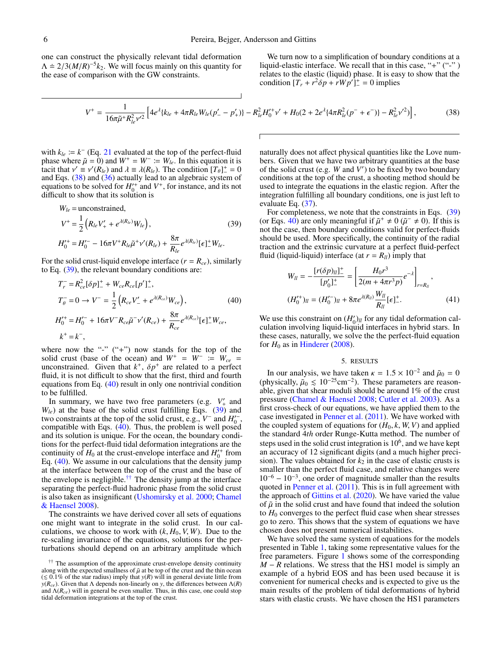one can construct the physically relevant tidal deformation  $\Lambda = 2/3(M/R)^{-5}k_2$ . We will focus mainly on this quantity for the ease of comparison with the GW constraints. the ease of comparison with the GW constraints.

We turn now to a simplification of boundary conditions at a liquid-elastic interface. We recall that in this case, "+" ("-") relates to the elastic (liquid) phase. It is easy to show that the condition  $[T_r + r^2 \delta p + rWp']^+ = 0$  implies

<span id="page-5-1"></span>
$$
V^{+} = \frac{1}{16\pi\tilde{\mu}^{+}R_{le}^{2}\nu'^{2}}\left[4e^{\lambda}\{k_{le} + 4\pi R_{le}W_{le}(p'_{-} - p'_{+})\} - R_{le}^{2}H_{0}^{\prime +}\nu' + H_{0}(2 + 2e^{\lambda}\{4\pi R_{le}^{2}(p^{-} + \epsilon^{-})\} - R_{le}^{2}\nu'^{2})\right],
$$
(38)

with  $k_{le} := k^-$  (Eq. [21](#page-2-12) evaluated at the top of the perfect-fluid phase where  $\tilde{\mu} = 0$ ) and  $W^+ = W^- := W_{le}$ . In this equation it is tacit that  $v' \equiv v'(R_{le})$  and  $\lambda \equiv \lambda(R_{le})$ . The condition  $[T_{\theta}]^+ = 0$ <br>and Eqs. (38) and (36) actually lead to an algebraic system of and Eqs. [\(38\)](#page-5-1) and [\(36\)](#page-4-3) actually lead to an algebraic system of equations to be solved for  $H_0^+$  and  $V^+$ , for instance, and its not difficult to show that its solution is

<span id="page-5-2"></span>
$$
W_{le} = \text{unconstrained},
$$
  
\n
$$
V^{+} = \frac{1}{2} \left( R_{le} V'_{+} + e^{\lambda(R_{le})} W_{le} \right),
$$
  
\n
$$
H_{0}^{\prime +} = H_{0}^{\prime -} - 16\pi V^{+} R_{le} \tilde{\mu}^{+} v'(R_{le}) + \frac{8\pi}{R_{le}} e^{\lambda(R_{le})} [\epsilon]_{-}^{+} W_{le}.
$$
\n(39)

For the solid crust-liquid envelope interface  $(r = R_{ce})$ , similarly to Eq. [\(39\)](#page-5-2), the relevant boundary conditions are:

<span id="page-5-3"></span>
$$
T_r^- = R_{ce}^2 [\delta p]_-^+ + W_{ce} R_{ce} [p']_-^+,
$$
  
\n
$$
T_{\theta}^- = 0 \to V^- = \frac{1}{2} (R_{ce} V_-' + e^{\lambda(R_{ce})} W_{ce}),
$$
  
\n
$$
H_0^{\prime +} = H_0^{\prime -} + 16\pi V^- R_{ce} \tilde{\mu}^- \nu'(R_{ce}) + \frac{8\pi}{R_{ce}} e^{\lambda(R_{ce})} [\epsilon]_-^+ W_{ce},
$$
  
\n
$$
k^+ = k^-,
$$
 (40)

, where now the "-" ("+") now stands for the top of the solid crust (base of the ocean) and  $W^+ = W^- \coloneq W_{ce} =$ unconstrained. Given that  $k^+$ ,  $\delta p^+$  are related to a perfect fluid, it is not difficult to show that the first, third and fourth fluid, it is not difficult to show that the first, third and fourth equations from Eq. [\(40\)](#page-5-3) result in only one nontrivial condition to be fulfilled.

In summary, we have two free parameters (e.g.  $V'_+$  and  $W_{1e}$ ) at the base of the solid crust fulfilling Eqs. [\(39\)](#page-5-2) and two constraints at the top of the solid crust, e.g.,  $V^-$  and  $H_0^{\prime -}$ , compatible with Eqs. [\(40\)](#page-5-3). Thus, the problem is well posed and its solution is unique. For the ocean, the boundary conditions for the perfect-fluid tidal deformation integrations are the continuity of  $H_0$  at the crust-envelope interface and  $H_0^+$  from Eq. [\(40\)](#page-5-3). We assume in our calculations that the density jump at the interface between the top of the crust and the base of the envelope is negligible.<sup>[††](#page-0-0)</sup> The density jump at the interface separating the perfect-fluid hadronic phase from the solid crust is also taken as insignificant [\(Ushomirsky et al.](#page-9-55) [2000;](#page-9-55) [Chamel](#page-9-69) [& Haensel](#page-9-69) [2008\)](#page-9-69).

The constraints we have derived cover all sets of equations one might want to integrate in the solid crust. In our calculations, we choose to work with  $(k, H_0, V, W)$ . Due to the re-scaling invariance of the equations, solutions for the perturbations should depend on an arbitrary amplitude which

naturally does not affect physical quantities like the Love numbers. Given that we have two arbitrary quantities at the base of the solid crust (e.g. W and V') to be fixed by two boundary conditions at the top of the crust, a shooting method should be used to integrate the equations in the elastic region. After the integration fulfilling all boundary conditions, one is just left to evaluate Eq. [\(37\)](#page-4-4).

For completeness, we note that the constraints in Eqs. [\(39\)](#page-5-2) (or Eqs. [40\)](#page-5-3) are only meaningful if  $\tilde{\mu}^+ \neq 0$  ( $\tilde{\mu}^- \neq 0$ ). If this is not the case, then boundary conditions valid for perfect-fluids not the case, then boundary conditions valid for perfect-fluids should be used. More specifically, the continuity of the radial traction and the extrinsic curvature at a perfect fluid-perfect fluid (liquid-liquid) interface (at  $r = R_{ll}$ ) imply that

$$
W_{ll} = -\frac{[r(\delta p)_{ll}]_{-}^{+}}{[p'_{0}]_{-}^{+}} = \left[\frac{H_{0}r^{3}}{2(m + 4\pi r^{3}p)}e^{-\lambda}\right]_{r=R_{ll}},
$$
  

$$
(H_{0}^{\prime+})_{ll} = (H_{0}^{\prime-})_{ll} + 8\pi e^{\lambda(R_{ll})}\frac{W_{ll}}{R_{ll}}[\epsilon]_{-}^{+}.
$$
 (41)

We use this constraint on  $(H'_0)$ <sup> $ll$ </sup> for any tidal deformation calculation involving liquid-liquid interfaces in hybrid stars. In these cases, naturally, we solve the the perfect-fluid equation for  $H_0$  as in [Hinderer](#page-9-16) [\(2008\)](#page-9-16).

## 5. RESULTS

<span id="page-5-0"></span>In our analysis, we have taken  $\kappa = 1.5 \times 10^{-2}$  and  $\tilde{\mu}_0 = 0$ <br>hysically  $\tilde{\mu}_0 < 10^{-25}$ cm<sup>-2</sup>). These parameters are reason-(physically,  $\tilde{\mu}_0 \leq 10^{-25}$ cm<sup>-2</sup>). These parameters are reasonable, given that shear moduli should be around 1% of the crust able, given that shear moduli should be around 1% of the crust pressure [\(Chamel & Haensel](#page-9-69) [2008;](#page-9-69) [Cutler et al.](#page-9-73) [2003\)](#page-9-73). As a first cross-check of our equations, we have applied them to the case investigated in [Penner et al.](#page-9-38) [\(2011\)](#page-9-38). We have worked with the coupled system of equations for  $(H_0, k, W, V)$  and applied the standard 4*th* order Runge-Kutta method. The number of steps used in the solid crust integration is  $10<sup>6</sup>$ , and we have kept an accuracy of 12 significant digits (and a much higher precision). The values obtained for  $k_2$  in the case of elastic crusts is smaller than the perfect fluid case, and relative changes were 10<sup>−</sup><sup>6</sup> − 10<sup>−</sup><sup>3</sup> , one order of magnitude smaller than the results quoted in [Penner et al.](#page-9-38) [\(2011\)](#page-9-38). This is in full agreement with the approach of [Gittins et al.](#page-9-39) [\(2020\)](#page-9-39). We have varied the value of  $\tilde{\mu}$  in the solid crust and have found that indeed the solution to  $H_0$  converges to the perfect fluid case when shear stresses go to zero. This shows that the system of equations we have chosen does not present numerical instabilities.

We have solved the same system of equations for the models presented in Table [1,](#page-3-2) taking some representative values for the free parameters. Figure [1](#page-6-0) shows some of the corresponding *M* − *R* relations. We stress that the HS1 model is simply an example of a hybrid EOS and has been used because it is convenient for numerical checks and is expected to give us the main results of the problem of tidal deformations of hybrid stars with elastic crusts. We have chosen the HS1 parameters

<sup>&</sup>lt;sup>††</sup> The assumption of the approximate crust-envelope density continuity along with the expected smallness of  $\tilde{\mu}$  at be top of the crust and the thin ocean along with the expected smallness of  $\tilde{\mu}$  at be top of the crust and the thin ocean ( $\leq 0.1\%$  of the star radius) imply that *y*(*R*) will in general deviate little from  $v(R_{\infty})$ . Given that  $\Lambda$  denends non-linea *y*( $R$ *<sub>ce</sub>*). Given that Λ depends non-linearly on *y*, the differences between Λ(*R*) and  $\Lambda(R_{ce})$  will in general be even smaller. Thus, in this case, one could stop tidal deformation integrations at the top of the crust.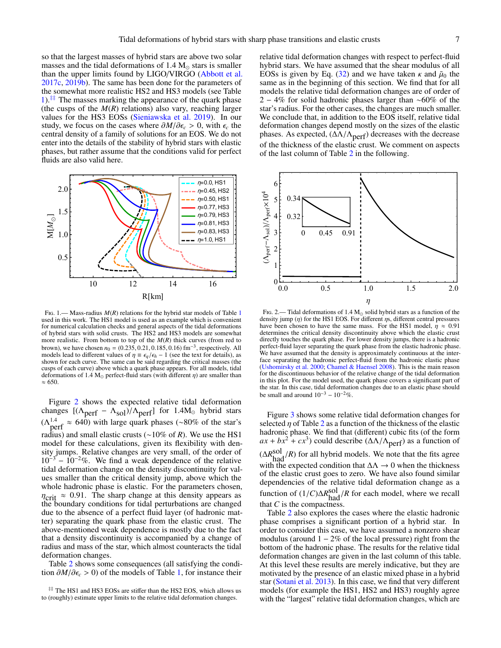so that the largest masses of hybrid stars are above two solar masses and the tidal deformations of  $1.4 M_{\odot}$  stars is smaller than the upper limits found by LIGO/VIRGO [\(Abbott et al.](#page-9-3) [2017c,](#page-9-3) [2019b\)](#page-9-19). The same has been done for the parameters of the somewhat more realistic HS2 and HS3 models (see Table [1\)](#page-3-2). $\pm\pm$  The masses marking the appearance of the quark phase (the cusps of the *M*(*R*) relations) also vary, reaching larger values for the HS3 EOSs [\(Sieniawska et al.](#page-9-46) [2019\)](#page-9-46). In our study, we focus on the cases where  $\partial M/\partial \epsilon_c > 0$ , with  $\epsilon_c$  the central density of a family of solutions for an EOS. We do not enter into the details of the stability of hybrid stars with elastic phases, but rather assume that the conditions valid for perfect fluids are also valid here.



<span id="page-6-0"></span>Fig. [1](#page-3-2).— Mass-radius  $M(R)$  relations for the hybrid star models of Table 1 used in this work. The HS1 model is used as an example which is convenient for numerical calculation checks and general aspects of the tidal deformations of hybrid stars with solid crusts. The HS2 and HS3 models are somewhat more realistic. From bottom to top of the *M*(*R*) thick curves (from red to brown), we have chosen  $n_0 = (0.235, 0.21, 0.185, 0.16)$  fm<sup>-3</sup>, respectively. All models lead to different values of  $n \equiv \epsilon_0/\epsilon_b - 1$  (see the text for details), as models lead to different values of  $\eta \equiv \epsilon_q/\epsilon_h - 1$  (see the text for details), as shown for each curve. The same can be said regarding the critical masses (the cusps of each curve) above which a quark phase appears. For all models, tidal deformations of 1.4 M<sub>o</sub> perfect-fluid stars (with different  $\eta$ ) are smaller than  $\approx 650.$ 

Figure [2](#page-6-1) shows the expected relative tidal deformation changes  $[(\Lambda_{\text{perf}} - \Lambda_{\text{sol}})/\Lambda_{\text{perf}}]$  for 1.4M<sub>o</sub> hybrid stars  $(\Lambda_{\text{perf}}^{1.4} \approx 640)$  with large quark phases (~80% of the star's radius) and small elastic crusts (∼10% of *R*). We use the HS1 model for these calculations, given its flexibility with density jumps. Relative changes are very small, of the order of  $10^{-3}$  –  $10^{-2}\%$ . We find a weak dependence of the relative tidal deformation change on the density discontinuity for values smaller than the critical density jump, above which the whole hadronic phase is elastic. For the parameters chosen,  $\eta_{\text{crit}} \approx 0.91$ . The sharp change at this density appears as the boundary conditions for tidal perturbations are changed due to the absence of a perfect fluid layer (of hadronic matter) separating the quark phase from the elastic crust. The above-mentioned weak dependence is mostly due to the fact that a density discontinuity is accompanied by a change of radius and mass of the star, which almost counteracts the tidal deformation changes.

Table [2](#page-8-0) shows some consequences (all satisfying the condition  $\partial M/\partial \epsilon$  > 0) of the models of Table [1,](#page-3-2) for instance their

relative tidal deformation changes with respect to perfect-fluid hybrid stars. We have assumed that the shear modulus of all EOSs is given by Eq. [\(32\)](#page-3-5) and we have taken  $\kappa$  and  $\tilde{\mu}_0$  the same as in the beginning of this section. We find that for all models the relative tidal deformation changes are of order of 2 − 4% for solid hadronic phases larger than ∼60% of the star's radius. For the other cases, the changes are much smaller. We conclude that, in addition to the EOS itself, relative tidal deformation changes depend mostly on the sizes of the elastic phases. As expected,  $(\Delta \Lambda / \Lambda_{\text{perf}})$  decreases with the decrease of the thickness of the elastic crust. We comment on aspects of the last column of Table [2](#page-8-0) in the following.



<span id="page-6-1"></span>FIG. 2.— Tidal deformations of 1.4  $M_{\odot}$  solid hybrid stars as a function of the density jump  $(\eta)$  for the HS1 EOS. For different  $\eta s$ , different central pressures have been chosen to have the same mass. For the HS1 model,  $\eta \approx 0.91$ determines the critical density discontinuity above which the elastic crust directly touches the quark phase. For lower density jumps, there is a hadronic perfect-fluid layer separating the quark phase from the elastic hadronic phase. We have assumed that the density is approximately continuous at the interface separating the hadronic perfect-fluid from the hadronic elastic phase [\(Ushomirsky et al.](#page-9-55) [2000;](#page-9-55) [Chamel & Haensel](#page-9-69) [2008\)](#page-9-69). This is the main reason for the discontinuous behavior of the relative change of the tidal deformation in this plot. For the model used, the quark phase covers a significant part of the star. In this case, tidal deformation changes due to an elastic phase should be small and around  $10^{-3} - 10^{-2}\%$ .

Figure [3](#page-7-1) shows some relative tidal deformation changes for selected  $\eta$  of Table [2](#page-8-0) as a function of the thickness of the elastic hadronic phase. We find that (different) cubic fits (of the form  $ax + bx^2 + cx^3$ ) could describe ( $\Delta\Lambda/\Lambda$ <sub>perf</sub>) as a function of  $(\Delta R_{\text{had}}^{\text{sol}}/R)$  for all hybrid models. We note that the fits agree<br>with the sympated condition that AA and O when the this present with the expected condition that  $\Delta\Lambda \rightarrow 0$  when the thickness of the elastic crust goes to zero. We have also found similar dependencies of the relative tidal deformation change as a function of  $(1/C)\Delta R_{\text{had}}^{\text{sol}}/R$  for each model, where we recall that  $C$  is the compactness.

Table [2](#page-8-0) also explores the cases where the elastic hadronic phase comprises a significant portion of a hybrid star. In order to consider this case, we have assumed a nonzero shear modulus (around  $1 - 2\%$  of the local pressure) right from the bottom of the hadronic phase. The results for the relative tidal deformation changes are given in the last column of this table. At this level these results are merely indicative, but they are motivated by the presence of an elastic mixed phase in a hybrid star [\(Sotani et al.](#page-9-74) [2013\)](#page-9-74). In this case, we find that very different models (for example the HS1, HS2 and HS3) roughly agree with the "largest" relative tidal deformation changes, which are

<sup>‡‡</sup> The HS1 and HS3 EOSs are stiffer than the HS2 EOS, which allows us to (roughly) estimate upper limits to the relative tidal deformation changes.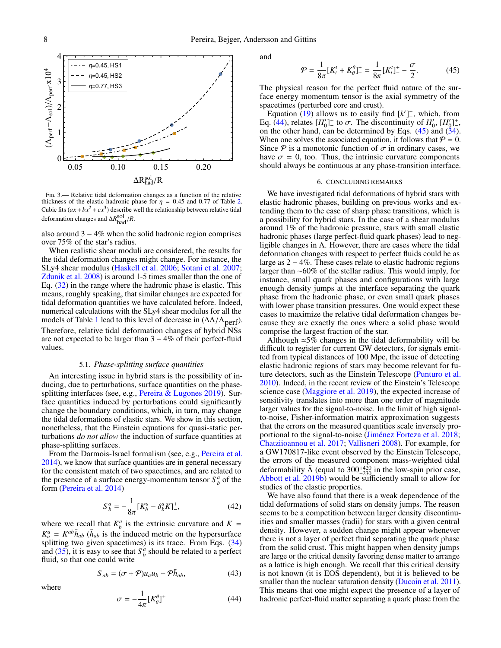

<span id="page-7-1"></span>Fig. 3.— Relative tidal deformation changes as a function of the relative thickness of the elastic hadronic phase for  $\eta = 0.45$  and 0.77 of Table [2.](#page-8-0) Cubic fits  $(ax + bx^2 + cx^3)$  describe well the relationship between relative tidal deformation changes and ∆*R* sol had/*R*.

also around  $3 - 4\%$  when the solid hadronic region comprises over 75% of the star's radius.

When realistic shear moduli are considered, the results for the tidal deformation changes might change. For instance, the SLy4 shear modulus [\(Haskell et al.](#page-9-75) [2006;](#page-9-75) [Sotani et al.](#page-9-76) [2007;](#page-9-76) [Zdunik et al.](#page-10-1) [2008\)](#page-10-1) is around 1-5 times smaller than the one of Eq. [\(32\)](#page-3-5) in the range where the hadronic phase is elastic. This means, roughly speaking, that similar changes are expected for tidal deformation quantities we have calculated before. Indeed, numerical calculations with the SLy4 shear modulus for all the models of Table [1](#page-3-2) lead to this level of decrease in  $(\Delta\Lambda/\Lambda_{\text{perf}})$ . Therefore, relative tidal deformation changes of hybrid NSs are not expected to be larger than  $3 - 4\%$  of their perfect-fluid values.

## 5.1. *Phase-splitting surface quantities*

An interesting issue in hybrid stars is the possibility of inducing, due to perturbations, surface quantities on the phase-splitting interfaces (see, e.g., [Pereira & Lugones](#page-9-77) [2019\)](#page-9-77). Surface quantities induced by perturbations could significantly change the boundary conditions, which, in turn, may change the tidal deformations of elastic stars. We show in this section, nonetheless, that the Einstein equations for quasi-static perturbations *do not allow* the induction of surface quantities at phase-splitting surfaces.

From the Darmois-Israel formalism (see, e.g., [Pereira et al.](#page-9-78) [2014\)](#page-9-78), we know that surface quantities are in general necessary for the consistent match of two spacetimes, and are related to the presence of a surface energy-momentum tensor  $S_b^a$  of the form [\(Pereira et al.](#page-9-78) [2014\)](#page-9-78)

$$
S_b^a = -\frac{1}{8\pi} [K_b^a - \delta_b^a K]_-, \tag{42}
$$

where we recall that  $K_b^a$  is the extrinsic curvature and  $K =$  $K_a^a = K^{ab} \bar{h}_{ab}$  ( $\bar{h}_{ab}$  is the induced metric on the hypersurface splitting two given spacetimes) is its trace. From Eqs. [\(34\)](#page-4-2) and [\(35\)](#page-4-5), it is easy to see that  $S_b^a$  should be related to a perfect fluid, so that one could write

$$
S_{ab} = (\sigma + \mathcal{P})u_a u_b + \mathcal{P} \bar{h}_{ab},\tag{43}
$$

where

<span id="page-7-2"></span>
$$
\sigma = -\frac{1}{4\pi} [K^{\theta}_{\theta}]^+ \tag{44}
$$

and

<span id="page-7-3"></span>
$$
\mathcal{P} = \frac{1}{8\pi} [K_t^t + K_\theta^\theta]_+^+ = \frac{1}{8\pi} [K_t^t]_+^+ - \frac{\sigma}{2}.
$$
 (45)

 $8\pi^{14}$   $8\pi^{14}$   $8\pi^{14}$   $2$   $(3)$ <br>The physical reason for the perfect fluid nature of the surface energy momentum tensor is the axial symmetry of the spacetimes (perturbed core and crust).

Equation  $(19)$  allows us to easily find  $[k']_$ <sup>+</sup>, which, from Eq.  $(44)$ , relates  $[H_0']^+$  to  $\sigma$ . The discontinuity of  $H_0', [H_0']^+$ , on the other hand, can be determined by Eqs.  $(45)$  and  $(34)$ . on the other hand, can be determined by Eqs.  $(45)$  and  $(34)$ . When one solves the associated equation, it follows that  $P = 0$ . Since  $P$  is a monotonic function of  $\sigma$  in ordinary cases, we have  $\sigma = 0$ , too. Thus, the intrinsic curvature components should always be continuous at any phase-transition interface.

### 6. CONCLUDING REMARKS

<span id="page-7-0"></span>We have investigated tidal deformations of hybrid stars with elastic hadronic phases, building on previous works and extending them to the case of sharp phase transitions, which is a possibility for hybrid stars. In the case of a shear modulus around 1% of the hadronic pressure, stars with small elastic hadronic phases (large perfect-fluid quark phases) lead to negligible changes in  $\Lambda$ . However, there are cases where the tidal deformation changes with respect to perfect fluids could be as large as 2 − 4%. These cases relate to elastic hadronic regions larger than ∼60% of the stellar radius. This would imply, for instance, small quark phases and configurations with large enough density jumps at the interface separating the quark phase from the hadronic phase, or even small quark phases with lower phase transition pressures. One would expect these cases to maximize the relative tidal deformation changes because they are exactly the ones where a solid phase would comprise the largest fraction of the star.

Although  $\approx$ 5% changes in the tidal deformability will be difficult to register for current GW detectors, for signals emitted from typical distances of 100 Mpc, the issue of detecting elastic hadronic regions of stars may become relevant for future detectors, such as the Einstein Telescope [\(Punturo et al.](#page-9-79) [2010\)](#page-9-79). Indeed, in the recent review of the Einstein's Telescope science case [\(Maggiore et al.](#page-9-80) [2019\)](#page-9-80), the expected increase of sensitivity translates into more than one order of magnitude larger values for the signal-to-noise. In the limit of high signalto-noise, Fisher-information matrix approximation suggests that the errors on the measured quantities scale inversely proportional to the signal-to-noise [\(Jiménez Forteza et al.](#page-9-81) [2018;](#page-9-81) [Chatziioannou et al.](#page-9-82) [2017;](#page-9-82) [Vallisneri](#page-9-83) [2008\)](#page-9-83). For example, for a GW170817-like event observed by the Einstein Telescope, the errors of the measured component mass-weighted tidal deformability  $\tilde{\Lambda}$  (equal to  $300^{+420}_{-230}$  in the low-spin prior case, [Abbott et al.](#page-9-19) [2019b\)](#page-9-19) would be sufficiently small to allow for studies of the elastic properties.

We have also found that there is a weak dependence of the tidal deformations of solid stars on density jumps. The reason seems to be a competition between larger density discontinuities and smaller masses (radii) for stars with a given central density. However, a sudden change might appear whenever there is not a layer of perfect fluid separating the quark phase from the solid crust. This might happen when density jumps are large or the critical density favoring dense matter to arrange as a lattice is high enough. We recall that this critical density is not known (it is EOS dependent), but it is believed to be smaller than the nuclear saturation density [\(Ducoin et al.](#page-9-68) [2011\)](#page-9-68). This means that one might expect the presence of a layer of hadronic perfect-fluid matter separating a quark phase from the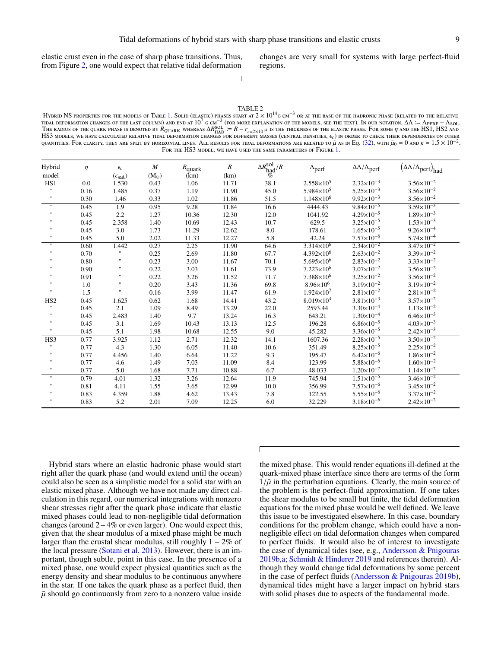elastic crust even in the case of sharp phase transitions. Thus, from Figure [2,](#page-6-1) one would expect that relative tidal deformation

changes are very small for systems with large perfect-fluid regions.

TABLE 2

<span id="page-8-0"></span>HYBRID NS PROPERTIES FOR THE MODELS OF TABLE [1.](#page-3-2) SOLID (ELASTIC) PHASES START AT 2 ×  $10^{14}$ g cm<sup>-3</sup> or at the base of the hadronic phase (related to the relative tidal deformation changes of the last column) and end at  $10^7$  g cm<sup>−3</sup> (for more explanation of the models, see the text). In our notation,  $\Delta\Lambda\coloneqq\Lambda_\text{PERF}-\Lambda_\text{SOL}.$ TIDAL DEFORMATION CHANGES OF THE LAST COLUMN) AND END AT TO GEME CONDUCTED THE MODELS SEE THE TEXT). IN OUR NOTATION, ∆A × = APERF – ASOL<br>The radius of the quark phase is denoted by Aquark whereas ∆R<sub>HAD</sub> := R – r<sub>e</sub>-2×10 HS3 models, we have calculated relative tidal deformation changes for different masses (central densities,  $\epsilon_c$ ) in order to check their dependencies on other<br>ouantities. For clarity they are split by horizontal lines. A QUANTITIES. FOR CLARITY, THEY ARE SPLIT BY HORIZONTAL LINES. ALL RESULTS FOR TIDAL DEFORMATIONS ARE RELATED TO  $\tilde{\mu}$  as in Eq. [\(32\)](#page-3-5), with  $\tilde{\mu}_0 = 0$  and  $\kappa = 1.5 \times 10^{-2}$ . FOR THE HS3 MODEL, WE HAVE USED THE SAME PARAMETERS OF FIGURE [1.](#page-6-0)

| Hybrid<br>model    | $\eta$ | $\epsilon_c$<br>$(\epsilon_{\text{sat}})$ | $\boldsymbol{M}$<br>$(M_{\odot})$ | $R_{\text{quark}}$<br>(km) | $\boldsymbol{R}$<br>(km) | $\frac{\Delta R_{\rm had}^{\rm sol}/R}{\frac{M_{\odot}}{C}}$ | $\Lambda_{\text{perf}}$ | $\Delta\Lambda/\Lambda_{\mathrm{perf}}$ | $(\Delta \Lambda / \Lambda_{\text{perf}})_{\text{had}}$ |
|--------------------|--------|-------------------------------------------|-----------------------------------|----------------------------|--------------------------|--------------------------------------------------------------|-------------------------|-----------------------------------------|---------------------------------------------------------|
| HS1                | 0.0    | 1.530                                     | 0.43                              | 1.06                       | 11.71                    | 38.1                                                         | $2.558\times10^{5}$     | $2.32 \times 10^{-3}$                   | $3.56 \times 10^{-2}$                                   |
|                    | 0.16   | 1.485                                     | 0.37                              | 1.19                       | 11.90                    | 45.0                                                         | $5.984\times10^{5}$     | $5.25 \times 10^{-3}$                   | $3.56 \times 10^{-2}$                                   |
| $\pmb{\mathsf{H}}$ | 0.30   | 1.46                                      | 0.33                              | 1.02                       | 11.86                    | 51.5                                                         | $1.148\times10^{6}$     | $9.92\times10^{-3}$                     | $3.56 \times 10^{-2}$                                   |
| $\pmb{\mathsf{H}}$ | 0.45   | $\overline{1.9}$                          | 0.95                              | 9.28                       | 11.84                    | 16.6                                                         | 4444.43                 | $9.84 \times 10^{-5}$                   | $3.59 \times 10^{-3}$                                   |
|                    | 0.45   | 2.2                                       | 1.27                              | 10.36                      | 12.30                    | 12.0                                                         | 1041.92                 | $4.29 \times 10^{-5}$                   | $1.89\times10^{-3}$                                     |
|                    | 0.45   | 2.358                                     | 1.40                              | 10.69                      | 12.43                    | 10.7                                                         | 629.5                   | $3.25 \times 10^{-5}$                   | $1.53 \times 10^{-3}$                                   |
|                    | 0.45   | 3.0                                       | 1.73                              | 11.29                      | 12.62                    | 8.0                                                          | 178.61                  | $1.65 \times 10^{-5}$                   | $9.26 \times 10^{-4}$                                   |
|                    | 0.45   | 5.0                                       | 2.02                              | 11.33                      | 12.27                    | 5.8                                                          | 42.24                   | $7.57\times10^{-6}$                     | $5.74 \times 10^{-4}$                                   |
| $^{\prime\prime}$  | 0.60   | 1.442                                     | 0.27                              | 2.25                       | 11.90                    | 64.6                                                         | $3.314\times10^{6}$     | $2.34 \times 10^{-2}$                   | $3.47 \times 10^{-2}$                                   |
| $^{\prime}$        | 0.70   | $\mathbf{H}$                              | 0.25                              | 2.69                       | 11.80                    | 67.7                                                         | $4.392\times10^{6}$     | $2.63 \times 10^{-2}$                   | $3.39\times10^{-2}$                                     |
|                    | 0.80   | $^{\prime\prime}$                         | 0.23                              | 3.00                       | 11.67                    | 70.1                                                         | $5.695 \times 10^6$     | $2.83 \times 10^{-2}$                   | $3.33 \times 10^{-2}$                                   |
|                    | 0.90   | $^{\prime}$                               | 0.22                              | 3.03                       | 11.61                    | 73.9                                                         | $7.223\times10^{6}$     | $3.07 \times 10^{-2}$                   | $3.56 \times 10^{-2}$                                   |
|                    | 0.91   | $\mathbf{H}$                              | 0.22                              | 3.26                       | 11.52                    | 71.7                                                         | $7.388\times10^{6}$     | $3.25 \times 10^{-2}$                   | $3.56 \times 10^{-2}$                                   |
|                    | 1.0    | $\blacksquare$                            | 0.20                              | 3.43                       | 11.36                    | 69.8                                                         | $8.96 \times 10^{6}$    | $3.19 \times 10^{-2}$                   | $3.19 \times 10^{-2}$                                   |
|                    | 1.5    | .,                                        | 0.16                              | 3.99                       | 11.47                    | 61.9                                                         | $1.924\times10^{7}$     | $2.81\times10^{-2}$                     | $2.81 \times 10^{-2}$                                   |
| HS <sub>2</sub>    | 0.45   | 1.625                                     | 0.62                              | 1.68                       | 14.41                    | 43.2                                                         | $8.019\times10^{4}$     | $3.81 \times 10^{-3}$                   | $3.57 \times 10^{-2}$                                   |
|                    | 0.45   | 2.1                                       | 1.09                              | 8.49                       | 13.29                    | 22.0                                                         | 2593.44                 | $3.30\times10^{-4}$                     | $1.13\times10^{-2}$                                     |
|                    | 0.45   | 2.483                                     | 1.40                              | 9.7                        | 13.24                    | 16.3                                                         | 643.21                  | $1.30\times10^{-4}$                     | $6.46\times10^{-3}$                                     |
|                    | 0.45   | 3.1                                       | 1.69                              | 10.43                      | 13.13                    | 12.5                                                         | 196.28                  | $6.86\times10^{-5}$                     | $4.03\times10^{-3}$                                     |
|                    | 0.45   | 5.1                                       | 1.98                              | 10.68                      | 12.55                    | 9.0                                                          | 45.282                  | $3.36 \times 10^{-5}$                   | $2.42\times10^{-3}$                                     |
| HS3                | 0.77   | 3.925                                     | 1.12                              | 2.71                       | 12.32                    | 14.1                                                         | 1607.36                 | $2.28 \times 10^{-5}$                   | $3.50 \times 10^{-2}$                                   |
|                    | 0.77   | 4.3                                       | 1.30                              | 6.05                       | 11.40                    | 10.6                                                         | 351.49                  | $8.25 \times 10^{-5}$                   | $2.25 \times 10^{-2}$                                   |
|                    | 0.77   | 4.456                                     | 1.40                              | 6.64                       | 11.22                    | 9.3                                                          | 195.47                  | $6.42\times10^{-6}$                     | $1.86 \times 10^{-2}$                                   |
|                    | 0.77   | 4.6                                       | 1.49                              | 7.03                       | 11.09                    | 8.4                                                          | 123.99                  | $5.88 \times 10^{-6}$                   | $1.60\times10^{-2}$                                     |
|                    | 0.77   | 5.0                                       | 1.68                              | 7.71                       | 10.88                    | 6.7                                                          | 48.033                  | $1.20\times10^{-7}$                     | $1.14 \times 10^{-2}$                                   |
| $\pmb{\mathsf{H}}$ | 0.79   | 4.01                                      | 1.32                              | 3.26                       | 12.64                    | 11.9                                                         | 745.94                  | $1.51 \times 10^{-5}$                   | $3.46 \times 10^{-2}$                                   |
|                    | 0.81   | 4.11                                      | 1.55                              | 3.65                       | 12.99                    | 10.0                                                         | 356.99                  | $7.57\times10^{-6}$                     | $3.45 \times 10^{-2}$                                   |
|                    | 0.83   | 4.359                                     | 1.88                              | 4.62                       | 13.43                    | 7.8                                                          | 122.55                  | $5.55 \times 10^{-6}$                   | $3.37 \times 10^{-2}$                                   |
|                    | 0.83   | 5.2                                       | 2.01                              | 7.09                       | 12.25                    | 6.0                                                          | 32.229                  | $3.18\times10^{-6}$                     | $2.42 \times 10^{-2}$                                   |

Hybrid stars where an elastic hadronic phase would start right after the quark phase (and would extend until the ocean) could also be seen as a simplistic model for a solid star with an elastic mixed phase. Although we have not made any direct calculation in this regard, our numerical integrations with nonzero shear stresses right after the quark phase indicate that elastic mixed phases could lead to non-negligible tidal deformation changes (around 2−4% or even larger). One would expect this, given that the shear modulus of a mixed phase might be much larger than the crustal shear modulus, still roughly  $1 - 2\%$  of the local pressure [\(Sotani et al.](#page-9-74) [2013\)](#page-9-74). However, there is an important, though subtle, point in this case. In the presence of a mixed phase, one would expect physical quantities such as the energy density and shear modulus to be continuous anywhere in the star. If one takes the quark phase as a perfect fluid, then  $\tilde{\mu}$  should go continuously from zero to a nonzero value inside

the mixed phase. This would render equations ill-defined at the quark-mixed phase interface since there are terms of the form  $1/\tilde{\mu}$  in the perturbation equations. Clearly, the main source of the problem is the perfect-fluid approximation. If one takes the shear modulus to be small but finite, the tidal deformation equations for the mixed phase would be well defined. We leave this issue to be investigated elsewhere. In this case, boundary conditions for the problem change, which could have a nonnegligible effect on tidal deformation changes when compared to perfect fluids. It would also be of interest to investigate the case of dynamical tides (see, e.g., [Andersson & Pnigouras](#page-9-84) [2019b](#page-9-84)[,a;](#page-9-85) [Schmidt & Hinderer](#page-9-86) [2019](#page-9-86) and references therein). Although they would change tidal deformations by some percent in the case of perfect fluids [\(Andersson & Pnigouras](#page-9-84) [2019b\)](#page-9-84), dynamical tides might have a larger impact on hybrid stars with solid phases due to aspects of the fundamental mode.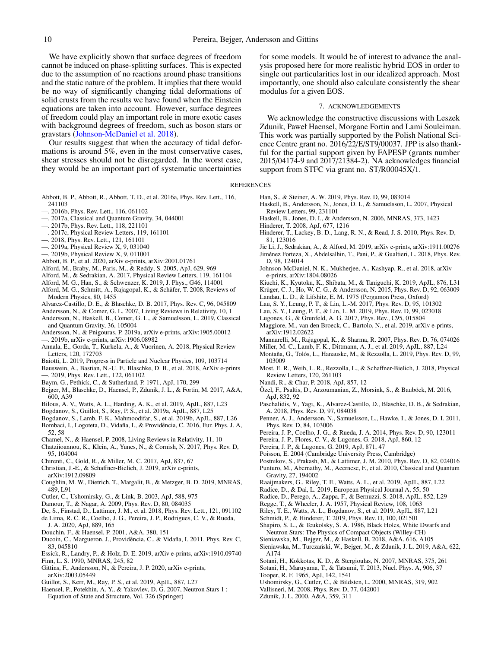We have explicitly shown that surface degrees of freedom cannot be induced on phase-splitting surfaces. This is expected due to the assumption of no reactions around phase transitions and the static nature of the problem. It implies that there would be no way of significantly changing tidal deformations of solid crusts from the results we have found when the Einstein equations are taken into account. However, surface degrees of freedom could play an important role in more exotic cases with background degrees of freedom, such as boson stars or gravstars [\(Johnson-McDaniel et al.](#page-9-87) [2018\)](#page-9-87).

Our results suggest that when the accuracy of tidal deformations is around 5%, even in the most conservative cases, shear stresses should not be disregarded. In the worst case, they would be an important part of systematic uncertainties

- 
- <span id="page-9-1"></span>Abbott, B. P., Abbott, R., Abbott, T. D., et al. 2016a, Phys. Rev. Lett., 116, 241103
- <span id="page-9-0"></span>—. 2016b, Phys. Rev. Lett., 116, 061102
- <span id="page-9-20"></span>—. 2017a, Classical and Quantum Gravity, 34, 044001
- <span id="page-9-2"></span>—. 2017b, Phys. Rev. Lett., 118, 221101
- <span id="page-9-3"></span>—. 2017c, Physical Review Letters, 119, 161101
- <span id="page-9-4"></span>—. 2018, Phys. Rev. Lett., 121, 161101
- <span id="page-9-5"></span>—. 2019a, Physical Review X, 9, 031040
- <span id="page-9-19"></span>—. 2019b, Physical Review X, 9, 011001
- <span id="page-9-6"></span>Abbott, B. P., et al. 2020, arXiv e-prints, arXiv:2001.01761
- <span id="page-9-62"></span>Alford, M., Braby, M., Paris, M., & Reddy, S. 2005, ApJ, 629, 969
- <span id="page-9-36"></span>Alford, M., & Sedrakian, A. 2017, Physical Review Letters, 119, 161104
- <span id="page-9-25"></span>Alford, M. G., Han, S., & Schwenzer, K. 2019, J. Phys., G46, 114001
- <span id="page-9-23"></span>Alford, M. G., Schmitt, A., Rajagopal, K., & Schäfer, T. 2008, Reviews of Modern Physics, 80, 1455
- <span id="page-9-35"></span>Alvarez-Castillo, D. E., & Blaschke, D. B. 2017, Phys. Rev. C, 96, 045809
- <span id="page-9-57"></span>Andersson, N., & Comer, G. L. 2007, Living Reviews in Relativity, 10, 1
- <span id="page-9-58"></span>Andersson, N., Haskell, B., Comer, G. L., & Samuelsson, L. 2019, Classical and Quantum Gravity, 36, 105004
- <span id="page-9-85"></span><span id="page-9-84"></span>Andersson, N., & Pnigouras, P. 2019a, arXiv e-prints, arXiv:1905.00012 —. 2019b, arXiv e-prints, arXiv:1906.08982
- <span id="page-9-11"></span>Annala, E., Gorda, T., Kurkela, A., & Vuorinen, A. 2018, Physical Review Letters, 120, 172703
- <span id="page-9-22"></span>Baiotti, L. 2019, Progress in Particle and Nuclear Physics, 109, 103714
- <span id="page-9-45"></span><span id="page-9-24"></span>Bauswein, A., Bastian, N.-U. F., Blaschke, D. B., et al. 2018, ArXiv e-prints —. 2019, Phys. Rev. Lett., 122, 061102
- <span id="page-9-65"></span>Baym, G., Pethick, C., & Sutherland, P. 1971, ApJ, 170, 299
- <span id="page-9-28"></span>
- Bejger, M., Blaschke, D., Haensel, P., Zdunik, J. L., & Fortin, M. 2017, A&A, 600, A39
- <span id="page-9-29"></span>Bilous, A. V., Watts, A. L., Harding, A. K., et al. 2019, ApJL, 887, L23
- <span id="page-9-31"></span>Bogdanov, S., Guillot, S., Ray, P. S., et al. 2019a, ApJL, 887, L25
- <span id="page-9-32"></span>Bogdanov, S., Lamb, F. K., Mahmoodifar, S., et al. 2019b, ApJL, 887, L26
- <span id="page-9-26"></span>Bombaci, I., Logoteta, D., Vidaña, I., & Providência, C. 2016, Eur. Phys. J. A, 52, 58
- <span id="page-9-69"></span>Chamel, N., & Haensel, P. 2008, Living Reviews in Relativity, 11, 10
- <span id="page-9-82"></span>Chatziioannou, K., Klein, A., Yunes, N., & Cornish, N. 2017, Phys. Rev. D, 95, 104004
- <span id="page-9-21"></span>Chirenti, C., Gold, R., & Miller, M. C. 2017, ApJ, 837, 67
- <span id="page-9-37"></span>Christian, J.-E., & Schaffner-Bielich, J. 2019, arXiv e-prints, arXiv:1912.09809
- <span id="page-9-51"></span>Coughlin, M. W., Dietrich, T., Margalit, B., & Metzger, B. D. 2019, MNRAS, 489, L91
- <span id="page-9-73"></span>Cutler, C., Ushomirsky, G., & Link, B. 2003, ApJ, 588, 975
- <span id="page-9-17"></span>Damour, T., & Nagar, A. 2009, Phys. Rev. D, 80, 084035
- <span id="page-9-13"></span>De, S., Finstad, D., Lattimer, J. M., et al. 2018, Phys. Rev. Lett., 121, 091102
- <span id="page-9-10"></span>de Lima, R. C. R., Coelho, J. G., Pereira, J. P., Rodrigues, C. V., & Rueda, J. A. 2020, ApJ, 889, 165
- <span id="page-9-64"></span>Douchin, F., & Haensel, P. 2001, A&A, 380, 151
- <span id="page-9-68"></span>Ducoin, C., Margueron, J., Providência, C., & Vidaña, I. 2011, Phys. Rev. C, 83, 045810
- <span id="page-9-44"></span>Essick, R., Landry, P., & Holz, D. E. 2019, arXiv e-prints, arXiv:1910.09740
- <span id="page-9-72"></span>Finn, L. S. 1990, MNRAS, 245, 82
- <span id="page-9-39"></span>Gittins, F., Andersson, N., & Pereira, J. P. 2020, arXiv e-prints, arXiv:2003.05449
- <span id="page-9-33"></span>Guillot, S., Kerr, M., Ray, P. S., et al. 2019, ApJL, 887, L27
- <span id="page-9-70"></span>Haensel, P., Potekhin, A. Y., & Yakovlev, D. G. 2007, Neutron Stars 1 : Equation of State and Structure, Vol. 326 (Springer)

for some models. It would be of interest to advance the analysis proposed here for more realistic hybrid EOS in order to single out particularities lost in our idealized approach. Most importantly, one should also calculate consistently the shear modulus for a given EOS.

### 7. ACKNOWLEDGEMENTS

We acknowledge the constructive discussions with Leszek Zdunik, Paweł Haensel, Morgane Fortin and Lami Souleiman. This work was partially supported by the Polish National Science Centre grant no. 2016/22/E/ST9/00037. JPP is also thankful for the partial support given by FAPESP (grants number 2015/04174-9 and 2017/21384-2). NA acknowledges financial support from STFC via grant no. ST/R00045X/1.

#### **REFERENCES**

- <span id="page-9-41"></span>Han, S., & Steiner, A. W. 2019, Phys. Rev. D, 99, 083014
- <span id="page-9-54"></span>Haskell, B., Andersson, N., Jones, D. I., & Samuelsson, L. 2007, Physical Review Letters, 99, 231101
- <span id="page-9-75"></span>Haskell, B., Jones, D. I., & Andersson, N. 2006, MNRAS, 373, 1423
- <span id="page-9-18"></span><span id="page-9-16"></span>Hinderer, T. 2008, ApJ, 677, 1216
- Hinderer, T., Lackey, B. D., Lang, R. N., & Read, J. S. 2010, Phys. Rev. D, 81, 123016
- <span id="page-9-81"></span><span id="page-9-42"></span>Jie Li, J., Sedrakian, A., & Alford, M. 2019, arXiv e-prints, arXiv:1911.00276 Jiménez Forteza, X., Abdelsalhin, T., Pani, P., & Gualtieri, L. 2018, Phys. Rev.
- <span id="page-9-87"></span>D, 98, 124014 Johnson-McDaniel, N. K., Mukherjee, A., Kashyap, R., et al. 2018, arXiv e-prints, arXiv:1804.08026
- <span id="page-9-53"></span>Kiuchi, K., Kyutoku, K., Shibata, M., & Taniguchi, K. 2019, ApJL, 876, L31
- <span id="page-9-61"></span>Krüger, C. J., Ho, W. C. G., & Andersson, N. 2015, Phys. Rev. D, 92, 063009
- <span id="page-9-60"></span>Landau, L. D., & Lifshitz, E. M. 1975 (Pergamon Press, Oxford)
- <span id="page-9-47"></span>Lau, S. Y., Leung, P. T., & Lin, L.-M. 2017, Phys. Rev. D, 95, 101302
- <span id="page-9-48"></span>Lau, S. Y., Leung, P. T., & Lin, L. M. 2019, Phys. Rev. D, 99, 023018
- <span id="page-9-27"></span>Lugones, G., & Grunfeld, A. G. 2017, Phys. Rev., C95, 015804
- <span id="page-9-80"></span>Maggiore, M., van den Broeck, C., Bartolo, N., et al. 2019, arXiv e-prints, arXiv:1912.02622
- <span id="page-9-49"></span>Mannarelli, M., Rajagopal, K., & Sharma, R. 2007, Phys. Rev. D, 76, 074026
- <span id="page-9-8"></span>Miller, M. C., Lamb, F. K., Dittmann, A. J., et al. 2019, ApJL, 887, L24
- <span id="page-9-43"></span>Montaña, G., Tolós, L., Hanauske, M., & Rezzolla, L. 2019, Phys. Rev. D, 99, 103009
- <span id="page-9-12"></span>Most, E. R., Weih, L. R., Rezzolla, L., & Schaffner-Bielich, J. 2018, Physical Review Letters, 120, 261103
- <span id="page-9-14"></span>Nandi, R., & Char, P. 2018, ApJ, 857, 12
- <span id="page-9-7"></span>Özel, F., Psaltis, D., Arzoumanian, Z., Morsink, S., & Bauböck, M. 2016, ApJ, 832, 92
- <span id="page-9-15"></span>Paschalidis, V., Yagi, K., Alvarez-Castillo, D., Blaschke, D. B., & Sedrakian, A. 2018, Phys. Rev. D, 97, 084038
- <span id="page-9-38"></span>Penner, A. J., Andersson, N., Samuelsson, L., Hawke, I., & Jones, D. I. 2011, Phys. Rev. D, 84, 103006
- <span id="page-9-78"></span>Pereira, J. P., Coelho, J. G., & Rueda, J. A. 2014, Phys. Rev. D, 90, 123011
- <span id="page-9-63"></span>Pereira, J. P., Flores, C. V., & Lugones, G. 2018, ApJ, 860, 12
- <span id="page-9-77"></span>Pereira, J. P., & Lugones, G. 2019, ApJ, 871, 47
- <span id="page-9-71"></span>Poisson, E. 2004 (Cambridge University Press, Cambridge)
- <span id="page-9-40"></span>
- <span id="page-9-79"></span>Postnikov, S., Prakash, M., & Lattimer, J. M. 2010, Phys. Rev. D, 82, 024016 Punturo, M., Abernathy, M., Acernese, F., et al. 2010, Classical and Quantum Gravity, 27, 194002
- <span id="page-9-30"></span>Raaijmakers, G., Riley, T. E., Watts, A. L., et al. 2019, ApJL, 887, L22
- <span id="page-9-52"></span>Radice, D., & Dai, L. 2019, European Physical Journal A, 55, 50
- <span id="page-9-50"></span>Radice, D., Perego, A., Zappa, F., & Bernuzzi, S. 2018, ApJL, 852, L29
- <span id="page-9-59"></span>Regge, T., & Wheeler, J. A. 1957, Physical Review, 108, 1063
- <span id="page-9-9"></span>Riley, T. E., Watts, A. L., Bogdanov, S., et al. 2019, ApJL, 887, L21
- <span id="page-9-86"></span>Schmidt, P., & Hinderer, T. 2019, Phys. Rev. D, 100, 021501
- <span id="page-9-56"></span>Shapiro, S. L., & Teukolsky, S. A. 1986, Black Holes, White Dwarfs and Neutron Stars: The Physics of Compact Objects (Willey-CH)
- <span id="page-9-34"></span>Sieniawska, M., Bejger, M., & Haskell, B. 2018, A&A, 616, A105
- <span id="page-9-46"></span>Sieniawska, M., Turczański, W., Bejger, M., & Zdunik, J. L. 2019, A&A, 622, A174
- <span id="page-9-76"></span><span id="page-9-74"></span>Sotani, H., Kokkotas, K. D., & Stergioulas, N. 2007, MNRAS, 375, 261 Sotani, H., Maruyama, T., & Tatsumi, T. 2013, Nucl. Phys. A, 906, 37
- <span id="page-9-66"></span>Tooper, R. F. 1965, ApJ, 142, 1541
- <span id="page-9-55"></span>Ushomirsky, G., Cutler, C., & Bildsten, L. 2000, MNRAS, 319, 902
- <span id="page-9-83"></span>Vallisneri, M. 2008, Phys. Rev. D, 77, 042001
- <span id="page-9-67"></span>Zdunik, J. L. 2000, A&A, 359, 311